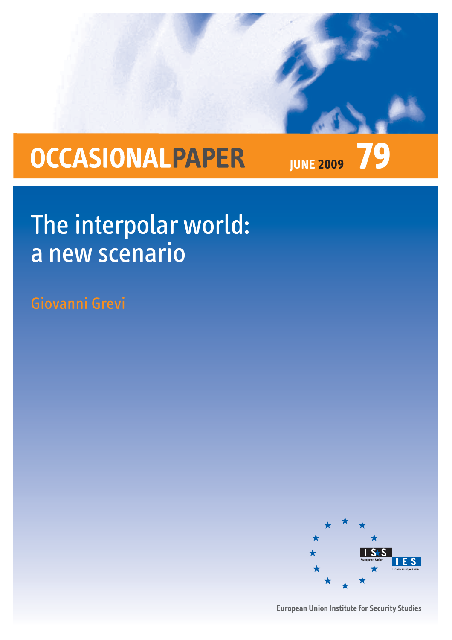# OCCASIONALPAPER

79 **JUNE 2009** 

# The interpolar world: a new scenario

Giovanni Grevi



**European Union Institute for Security Studies**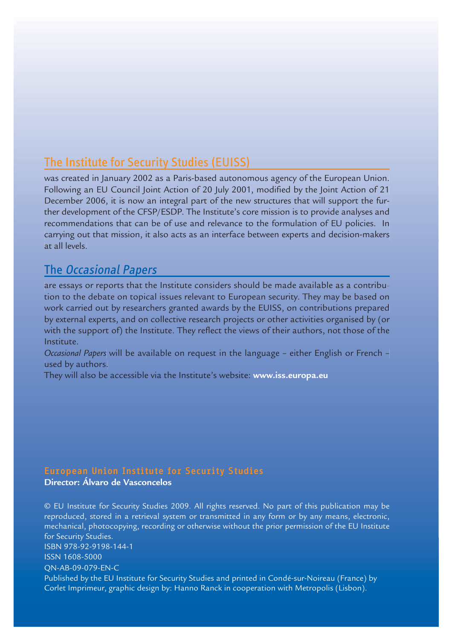#### The Institute for Security Studies (EUISS)

was created in January 2002 as a Paris-based autonomous agency of the European Union. Following an EU Council Joint Action of 20 July 2001, modified by the Joint Action of 21 December 2006, it is now an integral part of the new structures that will support the further development of the CFSP/ESDP. The Institute's core mission is to provide analyses and recommendations that can be of use and relevance to the formulation of EU policies. In carrying out that mission, it also acts as an interface between experts and decision-makers at all levels.

#### The Occasional Papers

are essays or reports that the Institute considers should be made available as a contribution to the debate on topical issues relevant to European security. They may be based on work carried out by researchers granted awards by the EUISS, on contributions prepared by external experts, and on collective research projects or other activities organised by (or with the support of) the Institute. They reflect the views of their authors, not those of the Institute.

*Occasional Papers* will be available on request in the language – either English or French – used by authors.

They will also be accessible via the Institute's website: **www.iss.europa.eu**

**Director: Álvaro de Vasconcelos**

© EU Institute for Security Studies 2009. All rights reserved. No part of this publication may be reproduced, stored in a retrieval system or transmitted in any form or by any means, electronic, mechanical, photocopying, recording or otherwise without the prior permission of the EU Institute for Security Studies. ISBN 978-92-9198-144-1

ISSN 1608-5000

QN-AB-09-079-EN-C

Published by the EU Institute for Security Studies and printed in Condé-sur-Noireau (France) by Corlet Imprimeur, graphic design by: Hanno Ranck in cooperation with Metropolis (Lisbon).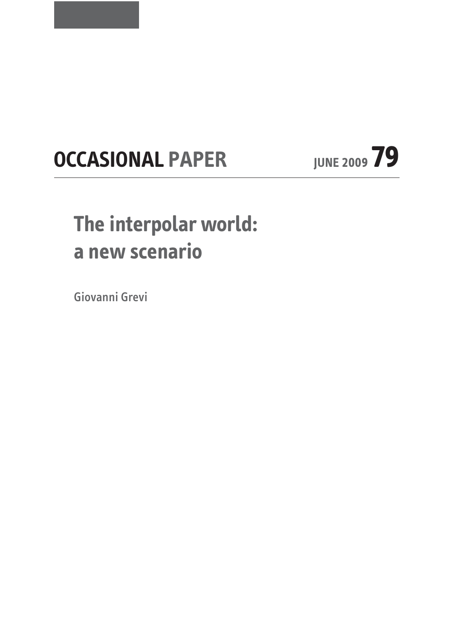# **OCCASIONAL PAPER**



# The interpolar world: a new scenario

Giovanni Grevi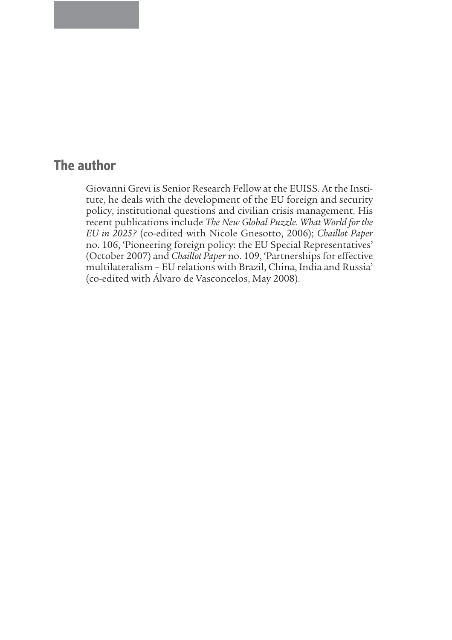#### **The author**

Giovanni Grevi is Senior Research Fellow at the EUISS. At the Institute, he deals with the development of the EU foreign and security policy, institutional questions and civilian crisis management. His recent publications include *The New Global Puzzle. What World for the EU in 2025?* (co-edited with Nicole Gnesotto, 2006); *Chaillot Paper*  no. 106, 'Pioneering foreign policy: the EU Special Representatives' (October 2007) and *Chaillot Paper* no. 109, 'Partnerships for effective multilateralism – EU relations with Brazil, China, India and Russia' (co-edited with Álvaro de Vasconcelos, May 2008).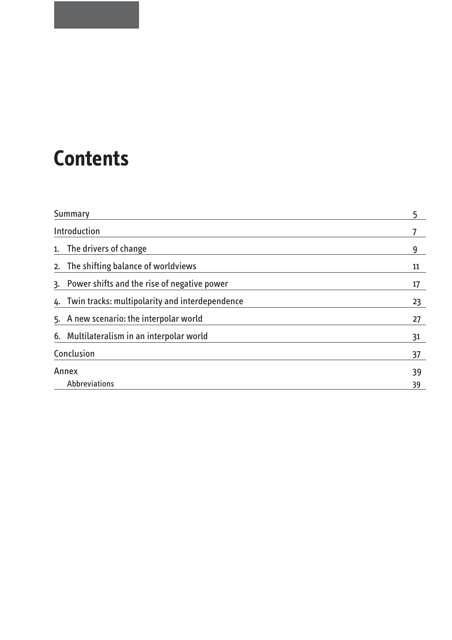# **Contents**

| Summary       |                                                   | 5  |
|---------------|---------------------------------------------------|----|
|               | Introduction                                      |    |
|               | 1. The drivers of change                          | 9  |
|               | 2. The shifting balance of worldviews             | 11 |
|               | 3. Power shifts and the rise of negative power    | 17 |
|               | 4. Twin tracks: multipolarity and interdependence | 23 |
|               | 5. A new scenario: the interpolar world           | 27 |
|               | 6. Multilateralism in an interpolar world         | 31 |
|               | Conclusion                                        |    |
|               | Annex                                             |    |
| Abbreviations |                                                   | 39 |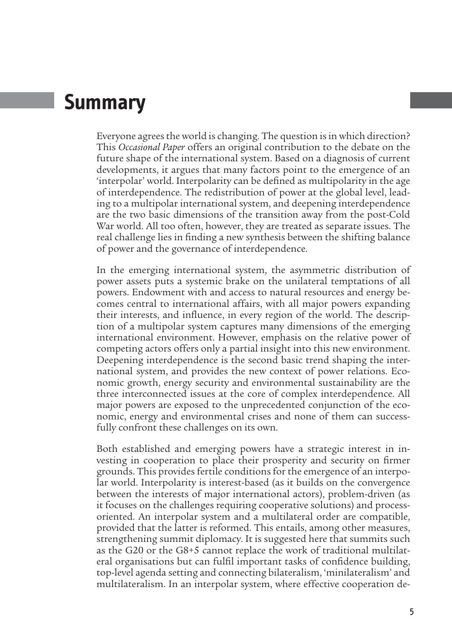### <span id="page-6-0"></span>**Summary**

Everyone agrees the world is changing. The question is in which direction? This *Occasional Paper* offers an original contribution to the debate on the future shape of the international system. Based on a diagnosis of current developments, it argues that many factors point to the emergence of an 'interpolar' world. Interpolarity can be defined as multipolarity in the age of interdependence. The redistribution of power at the global level, leading to a multipolar international system, and deepening interdependence are the two basic dimensions of the transition away from the post-Cold War world. All too often, however, they are treated as separate issues. The real challenge lies in finding a new synthesis between the shifting balance of power and the governance of interdependence.

In the emerging international system, the asymmetric distribution of power assets puts a systemic brake on the unilateral temptations of all powers. Endowment with and access to natural resources and energy becomes central to international affairs, with all major powers expanding their interests, and influence, in every region of the world. The description of a multipolar system captures many dimensions of the emerging international environment. However, emphasis on the relative power of competing actors offers only a partial insight into this new environment. Deepening interdependence is the second basic trend shaping the international system, and provides the new context of power relations. Economic growth, energy security and environmental sustainability are the three interconnected issues at the core of complex interdependence. All major powers are exposed to the unprecedented conjunction of the economic, energy and environmental crises and none of them can successfully confront these challenges on its own.

Both established and emerging powers have a strategic interest in investing in cooperation to place their prosperity and security on firmer grounds. This provides fertile conditions for the emergence of an interpolar world. Interpolarity is interest-based (as it builds on the convergence between the interests of major international actors), problem-driven (as it focuses on the challenges requiring cooperative solutions) and processoriented. An interpolar system and a multilateral order are compatible, provided that the latter is reformed. This entails, among other measures, strengthening summit diplomacy. It is suggested here that summits such as the G20 or the G8+5 cannot replace the work of traditional multilateral organisations but can fulfil important tasks of confidence building, top-level agenda setting and connecting bilateralism, 'minilateralism' and multilateralism. In an interpolar system, where effective cooperation de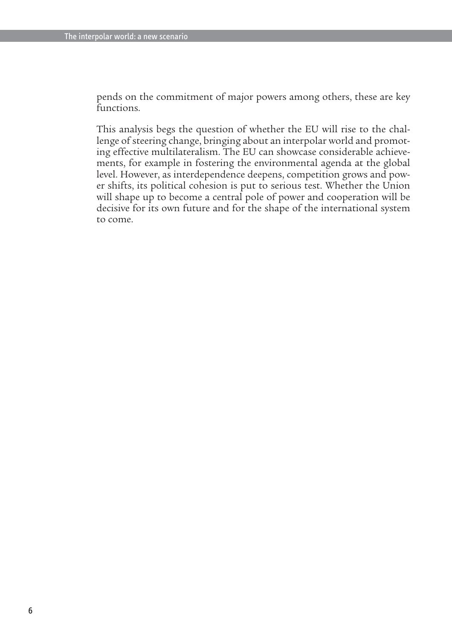pends on the commitment of major powers among others, these are key functions.

This analysis begs the question of whether the EU will rise to the challenge of steering change, bringing about an interpolar world and promoting effective multilateralism. The EU can showcase considerable achievements, for example in fostering the environmental agenda at the global level. However, as interdependence deepens, competition grows and power shifts, its political cohesion is put to serious test. Whether the Union will shape up to become a central pole of power and cooperation will be decisive for its own future and for the shape of the international system to come.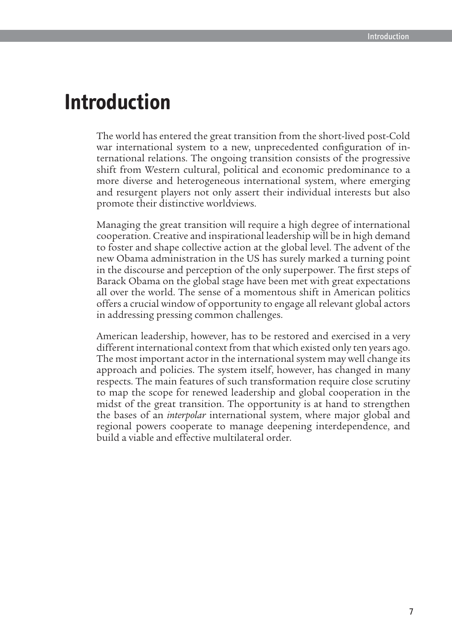### <span id="page-8-0"></span>**Introduction**

The world has entered the great transition from the short-lived post-Cold war international system to a new, unprecedented configuration of international relations. The ongoing transition consists of the progressive shift from Western cultural, political and economic predominance to a more diverse and heterogeneous international system, where emerging and resurgent players not only assert their individual interests but also promote their distinctive worldviews.

Managing the great transition will require a high degree of international cooperation. Creative and inspirational leadership will be in high demand to foster and shape collective action at the global level. The advent of the new Obama administration in the US has surely marked a turning point in the discourse and perception of the only superpower. The first steps of Barack Obama on the global stage have been met with great expectations all over the world. The sense of a momentous shift in American politics offers a crucial window of opportunity to engage all relevant global actors in addressing pressing common challenges.

American leadership, however, has to be restored and exercised in a very different international context from that which existed only ten years ago. The most important actor in the international system may well change its approach and policies. The system itself, however, has changed in many respects. The main features of such transformation require close scrutiny to map the scope for renewed leadership and global cooperation in the midst of the great transition. The opportunity is at hand to strengthen the bases of an *interpolar* international system, where major global and regional powers cooperate to manage deepening interdependence, and build a viable and effective multilateral order.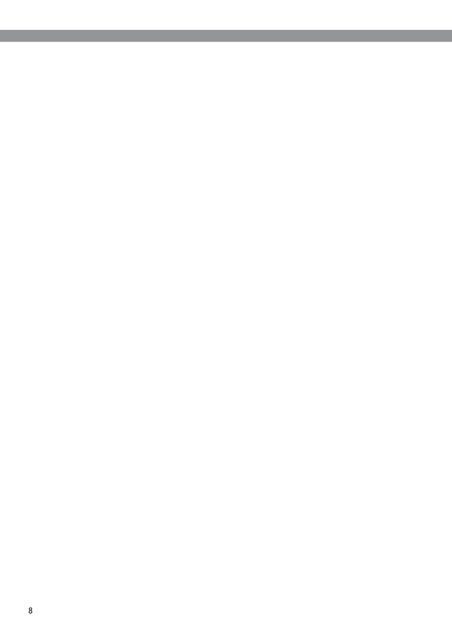#### $\boldsymbol{8}$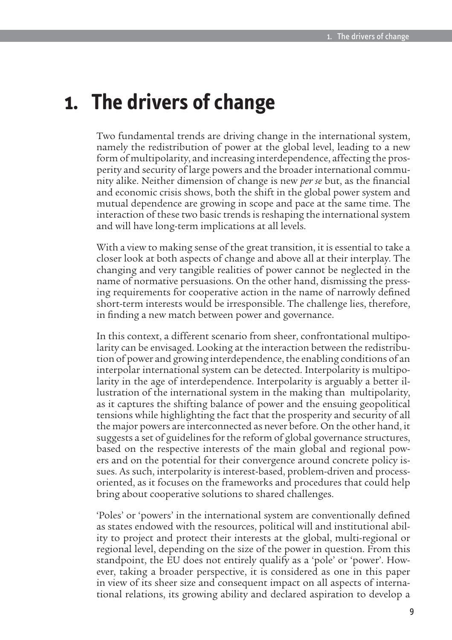### <span id="page-10-0"></span>**1.** The drivers of change

Two fundamental trends are driving change in the international system, namely the redistribution of power at the global level, leading to a new form of multipolarity, and increasing interdependence, affecting the prosperity and security of large powers and the broader international community alike. Neither dimension of change is new *per se* but, as the financial and economic crisis shows, both the shift in the global power system and mutual dependence are growing in scope and pace at the same time. The interaction of these two basic trends is reshaping the international system and will have long-term implications at all levels.

With a view to making sense of the great transition, it is essential to take a closer look at both aspects of change and above all at their interplay. The changing and very tangible realities of power cannot be neglected in the name of normative persuasions. On the other hand, dismissing the pressing requirements for cooperative action in the name of narrowly defined short-term interests would be irresponsible. The challenge lies, therefore, in finding a new match between power and governance.

In this context, a different scenario from sheer, confrontational multipolarity can be envisaged. Looking at the interaction between the redistribution of power and growing interdependence, the enabling conditions of an interpolar international system can be detected. Interpolarity is multipolarity in the age of interdependence. Interpolarity is arguably a better illustration of the international system in the making than multipolarity, as it captures the shifting balance of power and the ensuing geopolitical tensions while highlighting the fact that the prosperity and security of all the major powers are interconnected as never before. On the other hand, it suggests a set of guidelines for the reform of global governance structures, based on the respective interests of the main global and regional powers and on the potential for their convergence around concrete policy issues. As such, interpolarity is interest-based, problem-driven and processoriented, as it focuses on the frameworks and procedures that could help bring about cooperative solutions to shared challenges.

'Poles' or 'powers' in the international system are conventionally defined as states endowed with the resources, political will and institutional ability to project and protect their interests at the global, multi-regional or regional level, depending on the size of the power in question. From this standpoint, the EU does not entirely qualify as a 'pole' or 'power'. However, taking a broader perspective, it is considered as one in this paper in view of its sheer size and consequent impact on all aspects of international relations, its growing ability and declared aspiration to develop a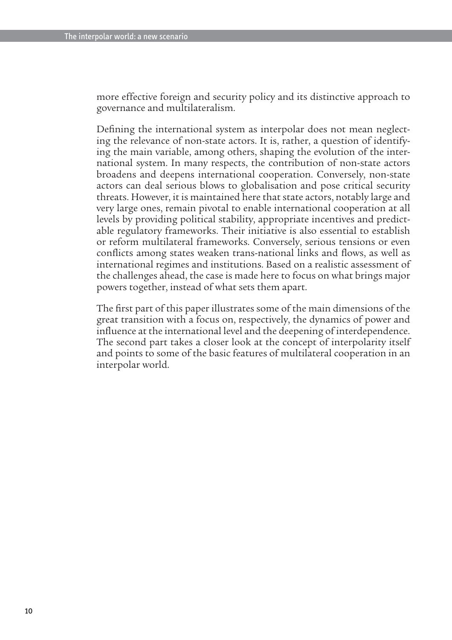more effective foreign and security policy and its distinctive approach to governance and multilateralism.

Defining the international system as interpolar does not mean neglecting the relevance of non-state actors. It is, rather, a question of identifying the main variable, among others, shaping the evolution of the international system. In many respects, the contribution of non-state actors broadens and deepens international cooperation. Conversely, non-state actors can deal serious blows to globalisation and pose critical security threats. However, it is maintained here that state actors, notably large and very large ones, remain pivotal to enable international cooperation at all levels by providing political stability, appropriate incentives and predictable regulatory frameworks. Their initiative is also essential to establish or reform multilateral frameworks. Conversely, serious tensions or even conflicts among states weaken trans-national links and flows, as well as international regimes and institutions. Based on a realistic assessment of the challenges ahead, the case is made here to focus on what brings major powers together, instead of what sets them apart.

The first part of this paper illustrates some of the main dimensions of the great transition with a focus on, respectively, the dynamics of power and influence at the international level and the deepening of interdependence. The second part takes a closer look at the concept of interpolarity itself and points to some of the basic features of multilateral cooperation in an interpolar world.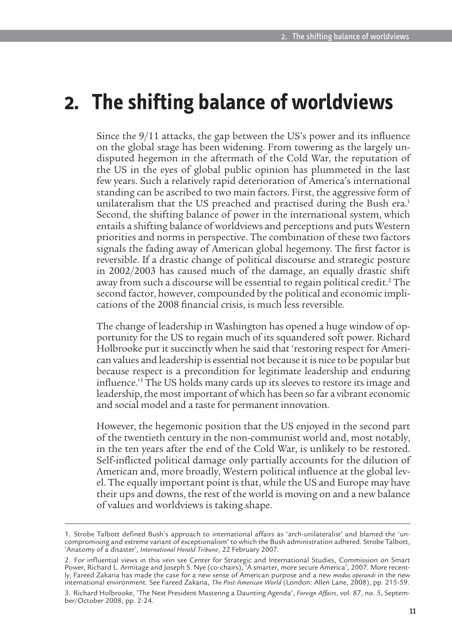### <span id="page-12-0"></span>**2. The shifting balance of worldviews**

Since the 9/11 attacks, the gap between the US's power and its influence on the global stage has been widening. From towering as the largely undisputed hegemon in the aftermath of the Cold War, the reputation of the US in the eyes of global public opinion has plummeted in the last few years. Such a relatively rapid deterioration of America's international standing can be ascribed to two main factors. First, the aggressive form of unilateralism that the US preached and practised during the Bush era.<sup>1</sup> Second, the shifting balance of power in the international system, which entails a shifting balance of worldviews and perceptions and puts Western priorities and norms in perspective. The combination of these two factors signals the fading away of American global hegemony. The first factor is reversible. If a drastic change of political discourse and strategic posture in 2002/2003 has caused much of the damage, an equally drastic shift away from such a discourse will be essential to regain political credit.<sup>2</sup> The second factor, however, compounded by the political and economic implications of the 2008 financial crisis, is much less reversible.

The change of leadership in Washington has opened a huge window of opportunity for the US to regain much of its squandered soft power. Richard Holbrooke put it succinctly when he said that 'restoring respect for American values and leadership is essential not because it is nice to be popular but because respect is a precondition for legitimate leadership and enduring influence.'3 The US holds many cards up its sleeves to restore its image and leadership, the most important of which has been so far a vibrant economic and social model and a taste for permanent innovation.

However, the hegemonic position that the US enjoyed in the second part of the twentieth century in the non-communist world and, most notably, in the ten years after the end of the Cold War, is unlikely to be restored. Self-inflicted political damage only partially accounts for the dilution of American and, more broadly, Western political influence at the global level. The equally important point is that, while the US and Europe may have their ups and downs, the rest of the world is moving on and a new balance of values and worldviews is taking shape.

<sup>1.</sup> Strobe Talbott defined Bush's approach to international affairs as 'arch-unilateralist' and blamed the 'uncompromising and extreme variant of exceptionalism' to which the Bush administration adhered. Strobe Talbott, 'Anatomy of a disaster', *International Herald Tribune*, 22 February 2007.

<sup>2.</sup> For influential views in this vein see Center for Strategic and International Studies, Commission on Smart Power, Richard L. Armitage and Joseph S. Nye (co-chairs), 'A smarter, more secure America', 2007. More recently, Fareed Zakaria has made the case for a new sense of American purpose and a new *modus operandi* in the new international environment. See Fareed Zakaria, *The Post-American World* (London: Allen Lane, 2008), pp. 215-59.

<sup>3.</sup> Richard Holbrooke, 'The Next President Mastering a Daunting Agenda', *Foreign Affairs*, vol. 87, no. 5, September/October 2008, pp. 2-24.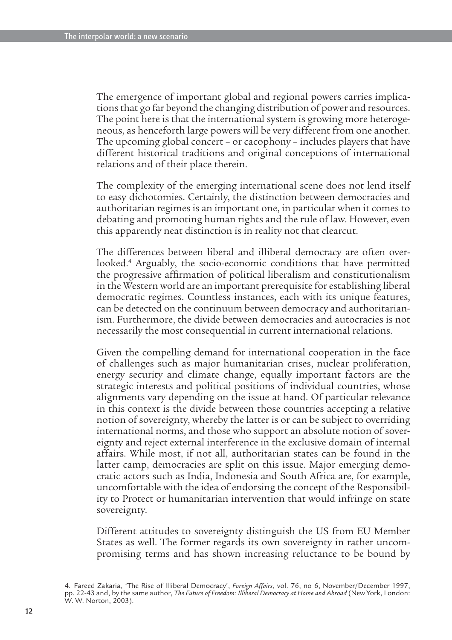The emergence of important global and regional powers carries implications that go far beyond the changing distribution of power and resources. The point here is that the international system is growing more heterogeneous, as henceforth large powers will be very different from one another. The upcoming global concert – or cacophony – includes players that have different historical traditions and original conceptions of international relations and of their place therein.

The complexity of the emerging international scene does not lend itself to easy dichotomies. Certainly, the distinction between democracies and authoritarian regimes is an important one, in particular when it comes to debating and promoting human rights and the rule of law. However, even this apparently neat distinction is in reality not that clearcut.

The differences between liberal and illiberal democracy are often overlooked.4 Arguably, the socio-economic conditions that have permitted the progressive affirmation of political liberalism and constitutionalism in the Western world are an important prerequisite for establishing liberal democratic regimes. Countless instances, each with its unique features, can be detected on the continuum between democracy and authoritarianism. Furthermore, the divide between democracies and autocracies is not necessarily the most consequential in current international relations.

Given the compelling demand for international cooperation in the face of challenges such as major humanitarian crises, nuclear proliferation, energy security and climate change, equally important factors are the strategic interests and political positions of individual countries, whose alignments vary depending on the issue at hand. Of particular relevance in this context is the divide between those countries accepting a relative notion of sovereignty, whereby the latter is or can be subject to overriding international norms, and those who support an absolute notion of sovereignty and reject external interference in the exclusive domain of internal affairs. While most, if not all, authoritarian states can be found in the latter camp, democracies are split on this issue. Major emerging democratic actors such as India, Indonesia and South Africa are, for example, uncomfortable with the idea of endorsing the concept of the Responsibility to Protect or humanitarian intervention that would infringe on state sovereignty.

Different attitudes to sovereignty distinguish the US from EU Member States as well. The former regards its own sovereignty in rather uncompromising terms and has shown increasing reluctance to be bound by

<sup>4.</sup> Fareed Zakaria, 'The Rise of Illiberal Democracy', *Foreign Affairs*, vol. 76, no 6, November/December 1997, pp. 22-43 and, by the same author, *The Future of Freedom: Illiberal Democracy at Home and Abroad* (New York, London: W. W. Norton, 2003).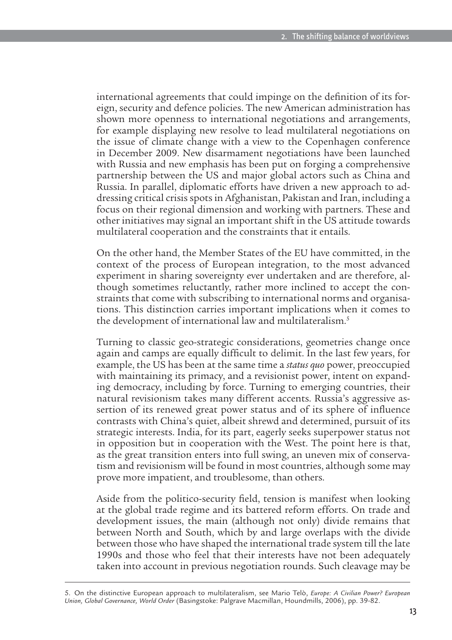international agreements that could impinge on the definition of its foreign, security and defence policies. The new American administration has shown more openness to international negotiations and arrangements, for example displaying new resolve to lead multilateral negotiations on the issue of climate change with a view to the Copenhagen conference in December 2009. New disarmament negotiations have been launched with Russia and new emphasis has been put on forging a comprehensive partnership between the US and major global actors such as China and Russia. In parallel, diplomatic efforts have driven a new approach to addressing critical crisis spots in Afghanistan, Pakistan and Iran, including a focus on their regional dimension and working with partners. These and other initiatives may signal an important shift in the US attitude towards multilateral cooperation and the constraints that it entails.

On the other hand, the Member States of the EU have committed, in the context of the process of European integration, to the most advanced experiment in sharing sovereignty ever undertaken and are therefore, although sometimes reluctantly, rather more inclined to accept the constraints that come with subscribing to international norms and organisations. This distinction carries important implications when it comes to the development of international law and multilateralism.<sup>5</sup>

Turning to classic geo-strategic considerations, geometries change once again and camps are equally difficult to delimit. In the last few years, for example, the US has been at the same time a *status quo* power, preoccupied with maintaining its primacy, and a revisionist power, intent on expanding democracy, including by force. Turning to emerging countries, their natural revisionism takes many different accents. Russia's aggressive assertion of its renewed great power status and of its sphere of influence contrasts with China's quiet, albeit shrewd and determined, pursuit of its strategic interests. India, for its part, eagerly seeks superpower status not in opposition but in cooperation with the West. The point here is that, as the great transition enters into full swing, an uneven mix of conservatism and revisionism will be found in most countries, although some may prove more impatient, and troublesome, than others.

Aside from the politico-security field, tension is manifest when looking at the global trade regime and its battered reform efforts. On trade and development issues, the main (although not only) divide remains that between North and South, which by and large overlaps with the divide between those who have shaped the international trade system till the late 1990s and those who feel that their interests have not been adequately taken into account in previous negotiation rounds. Such cleavage may be

5. On the distinctive European approach to multilateralism, see Mario Telò, *Europe: A Civilian Power? European Union, Global Governance, World Order* (Basingstoke: Palgrave Macmillan, Houndmills, 2006), pp. 39-82.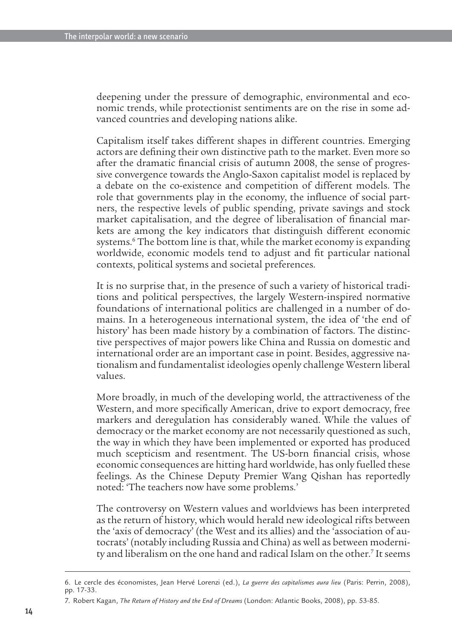deepening under the pressure of demographic, environmental and economic trends, while protectionist sentiments are on the rise in some advanced countries and developing nations alike.

Capitalism itself takes different shapes in different countries. Emerging actors are defining their own distinctive path to the market. Even more so after the dramatic financial crisis of autumn 2008, the sense of progressive convergence towards the Anglo-Saxon capitalist model is replaced by a debate on the co-existence and competition of different models. The role that governments play in the economy, the influence of social partners, the respective levels of public spending, private savings and stock market capitalisation, and the degree of liberalisation of financial markets are among the key indicators that distinguish different economic systems.<sup>6</sup> The bottom line is that, while the market economy is expanding worldwide, economic models tend to adjust and fit particular national contexts, political systems and societal preferences.

It is no surprise that, in the presence of such a variety of historical traditions and political perspectives, the largely Western-inspired normative foundations of international politics are challenged in a number of domains. In a heterogeneous international system, the idea of 'the end of history' has been made history by a combination of factors. The distinctive perspectives of major powers like China and Russia on domestic and international order are an important case in point. Besides, aggressive nationalism and fundamentalist ideologies openly challenge Western liberal values.

More broadly, in much of the developing world, the attractiveness of the Western, and more specifically American, drive to export democracy, free markers and deregulation has considerably waned. While the values of democracy or the market economy are not necessarily questioned as such, the way in which they have been implemented or exported has produced much scepticism and resentment. The US-born financial crisis, whose economic consequences are hitting hard worldwide, has only fuelled these feelings. As the Chinese Deputy Premier Wang Qishan has reportedly noted: 'The teachers now have some problems.'

The controversy on Western values and worldviews has been interpreted as the return of history, which would herald new ideological rifts between the 'axis of democracy' (the West and its allies) and the 'association of autocrats' (notably including Russia and China) as well as between modernity and liberalism on the one hand and radical Islam on the other.<sup>7</sup> It seems

7. Robert Kagan, *The Return of History and the End of Dreams* (London: Atlantic Books, 2008), pp. 53-85.

<sup>6.</sup> Le cercle des économistes, Jean Hervé Lorenzi (ed.), *La guerre des capitalismes aura lieu* (Paris: Perrin, 2008), pp. 17-33.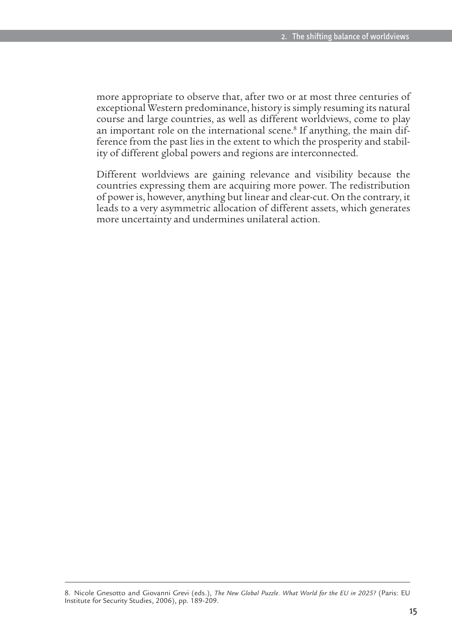more appropriate to observe that, after two or at most three centuries of exceptional Western predominance, history is simply resuming its natural course and large countries, as well as different worldviews, come to play an important role on the international scene.<sup>8</sup> If anything, the main difference from the past lies in the extent to which the prosperity and stability of different global powers and regions are interconnected.

Different worldviews are gaining relevance and visibility because the countries expressing them are acquiring more power. The redistribution of power is, however, anything but linear and clear-cut. On the contrary, it leads to a very asymmetric allocation of different assets, which generates more uncertainty and undermines unilateral action.

<sup>8.</sup> Nicole Gnesotto and Giovanni Grevi (eds.), *The New Global Puzzle. What World for the EU in 2025?* (Paris: EU Institute for Security Studies, 2006), pp. 189-209.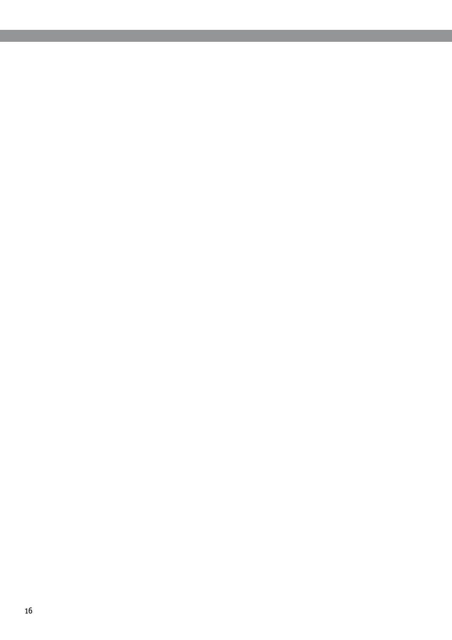####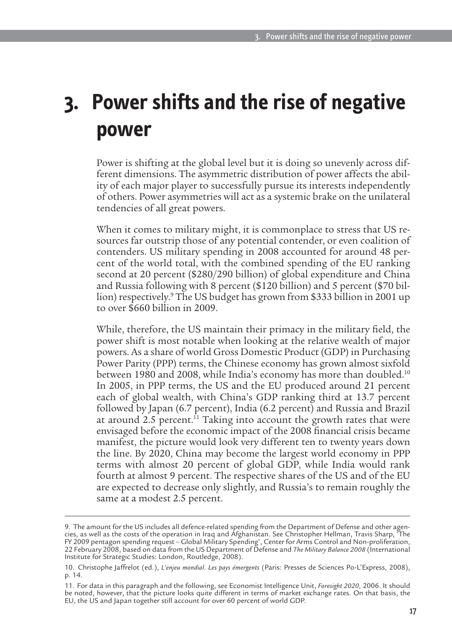# <span id="page-18-0"></span>**3. Power shifts and the rise of negative** power

Power is shifting at the global level but it is doing so unevenly across different dimensions. The asymmetric distribution of power affects the ability of each major player to successfully pursue its interests independently of others. Power asymmetries will act as a systemic brake on the unilateral tendencies of all great powers.

When it comes to military might, it is commonplace to stress that US resources far outstrip those of any potential contender, or even coalition of contenders. US military spending in 2008 accounted for around 48 percent of the world total, with the combined spending of the EU ranking second at 20 percent (\$280/290 billion) of global expenditure and China and Russia following with 8 percent (\$120 billion) and 5 percent (\$70 billion) respectively.9 The US budget has grown from \$333 billion in 2001 up to over \$660 billion in 2009.

While, therefore, the US maintain their primacy in the military field, the power shift is most notable when looking at the relative wealth of major powers. As a share of world Gross Domestic Product (GDP) in Purchasing Power Parity (PPP) terms, the Chinese economy has grown almost sixfold between 1980 and 2008, while India's economy has more than doubled.<sup>10</sup> In 2005, in PPP terms, the US and the EU produced around 21 percent each of global wealth, with China's GDP ranking third at 13.7 percent followed by Japan (6.7 percent), India (6.2 percent) and Russia and Brazil at around 2.5 percent.<sup>11</sup> Taking into account the growth rates that were envisaged before the economic impact of the 2008 financial crisis became manifest, the picture would look very different ten to twenty years down the line. By 2020, China may become the largest world economy in PPP terms with almost 20 percent of global GDP, while India would rank fourth at almost 9 percent. The respective shares of the US and of the EU are expected to decrease only slightly, and Russia's to remain roughly the same at a modest 2.5 percent.

<sup>9.</sup> The amount for the US includes all defence-related spending from the Department of Defense and other agencies, as well as the costs of the operation in Iraq and Afghanistan. See Christopher Hellman, Travis Sharp, 'The FY 2009 pentagon spending request – Global Military Spending', Center for Arms Control and Non-proliferation, 22 February 2008, based on data from the US Department of Defense and *The Military Balance 2008* (International Institute for Strategic Studies: London, Routledge, 2008).

<sup>10.</sup> Christophe Jaffrelot (ed.), *L'enjeu mondial. Les pays émergents* (Paris: Presses de Sciences Po-L'Express, 2008), p. 14.

<sup>11.</sup> For data in this paragraph and the following, see Economist Intelligence Unit, *Foresight 2020,* 2006. It should be noted, however, that the picture looks quite different in terms of market exchange rates. On that basis, the EU, the US and Japan together still account for over 60 percent of world GDP.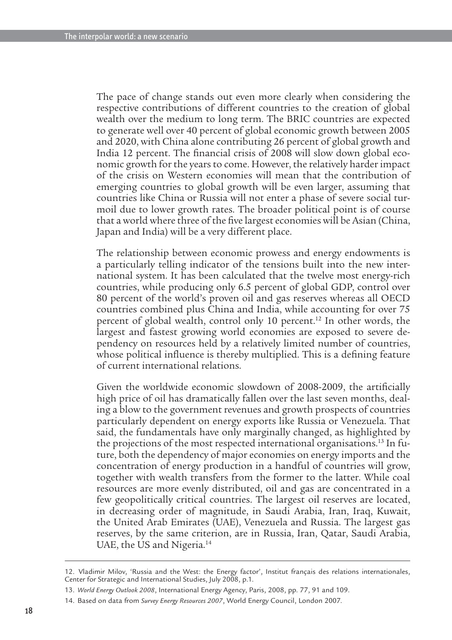The pace of change stands out even more clearly when considering the respective contributions of different countries to the creation of global wealth over the medium to long term. The BRIC countries are expected to generate well over 40 percent of global economic growth between 2005 and 2020, with China alone contributing 26 percent of global growth and India 12 percent. The financial crisis of 2008 will slow down global economic growth for the years to come. However, the relatively harder impact of the crisis on Western economies will mean that the contribution of emerging countries to global growth will be even larger, assuming that countries like China or Russia will not enter a phase of severe social turmoil due to lower growth rates. The broader political point is of course that a world where three of the five largest economies will be Asian (China, Japan and India) will be a very different place.

The relationship between economic prowess and energy endowments is a particularly telling indicator of the tensions built into the new international system. It has been calculated that the twelve most energy-rich countries, while producing only 6.5 percent of global GDP, control over 80 percent of the world's proven oil and gas reserves whereas all OECD countries combined plus China and India, while accounting for over 75 percent of global wealth, control only 10 percent.<sup>12</sup> In other words, the largest and fastest growing world economies are exposed to severe dependency on resources held by a relatively limited number of countries, whose political influence is thereby multiplied. This is a defining feature of current international relations.

Given the worldwide economic slowdown of 2008-2009, the artificially high price of oil has dramatically fallen over the last seven months, dealing a blow to the government revenues and growth prospects of countries particularly dependent on energy exports like Russia or Venezuela. That said, the fundamentals have only marginally changed, as highlighted by the projections of the most respected international organisations.<sup>13</sup> In future, both the dependency of major economies on energy imports and the concentration of energy production in a handful of countries will grow, together with wealth transfers from the former to the latter. While coal resources are more evenly distributed, oil and gas are concentrated in a few geopolitically critical countries. The largest oil reserves are located, in decreasing order of magnitude, in Saudi Arabia, Iran, Iraq, Kuwait, the United Arab Emirates (UAE), Venezuela and Russia. The largest gas reserves, by the same criterion, are in Russia, Iran, Qatar, Saudi Arabia, UAE, the US and Nigeria.<sup>14</sup>

<sup>12.</sup> Vladimir Milov, 'Russia and the West: the Energy factor', Institut français des relations internationales, Center for Strategic and International Studies, July 2008, p.1.

<sup>13.</sup> *World Energy Outlook 2008*, International Energy Agency, Paris, 2008, pp. 77, 91 and 109.

<sup>14.</sup> Based on data from *Survey Energy Resources 2007*, World Energy Council, London 2007.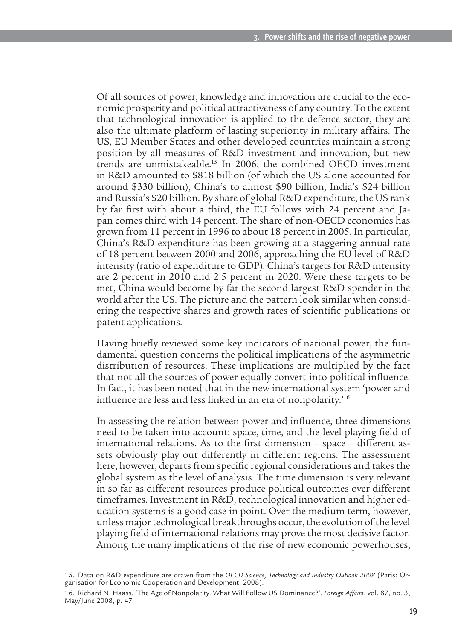Of all sources of power, knowledge and innovation are crucial to the economic prosperity and political attractiveness of any country. To the extent that technological innovation is applied to the defence sector, they are also the ultimate platform of lasting superiority in military affairs. The US, EU Member States and other developed countries maintain a strong position by all measures of R&D investment and innovation, but new trends are unmistakeable.<sup>15</sup> In 2006, the combined OECD investment in R&D amounted to \$818 billion (of which the US alone accounted for around \$330 billion), China's to almost \$90 billion, India's \$24 billion and Russia's \$20 billion. By share of global R&D expenditure, the US rank by far first with about a third, the EU follows with 24 percent and Japan comes third with 14 percent. The share of non-OECD economies has grown from 11 percent in 1996 to about 18 percent in 2005. In particular, China's R&D expenditure has been growing at a staggering annual rate of 18 percent between 2000 and 2006, approaching the EU level of R&D intensity (ratio of expenditure to GDP). China's targets for R&D intensity are 2 percent in 2010 and 2.5 percent in 2020. Were these targets to be met, China would become by far the second largest R&D spender in the world after the US. The picture and the pattern look similar when considering the respective shares and growth rates of scientific publications or patent applications.

Having briefly reviewed some key indicators of national power, the fundamental question concerns the political implications of the asymmetric distribution of resources. These implications are multiplied by the fact that not all the sources of power equally convert into political influence. In fact, it has been noted that in the new international system 'power and influence are less and less linked in an era of nonpolarity.'16

In assessing the relation between power and influence, three dimensions need to be taken into account: space, time, and the level playing field of international relations. As to the first dimension – space – different assets obviously play out differently in different regions. The assessment here, however, departs from specific regional considerations and takes the global system as the level of analysis. The time dimension is very relevant in so far as different resources produce political outcomes over different timeframes. Investment in R&D, technological innovation and higher education systems is a good case in point. Over the medium term, however, unless major technological breakthroughs occur, the evolution of the level playing field of international relations may prove the most decisive factor. Among the many implications of the rise of new economic powerhouses,

<sup>15.</sup> Data on R&D expenditure are drawn from the *OECD Science, Technology and Industry Outlook 2008* (Paris: Organisation for Economic Cooperation and Development, 2008).

<sup>16.</sup> Richard N. Haass, 'The Age of Nonpolarity. What Will Follow US Dominance?', *Foreign Affairs*, vol. 87, no. 3, May/June 2008, p. 47.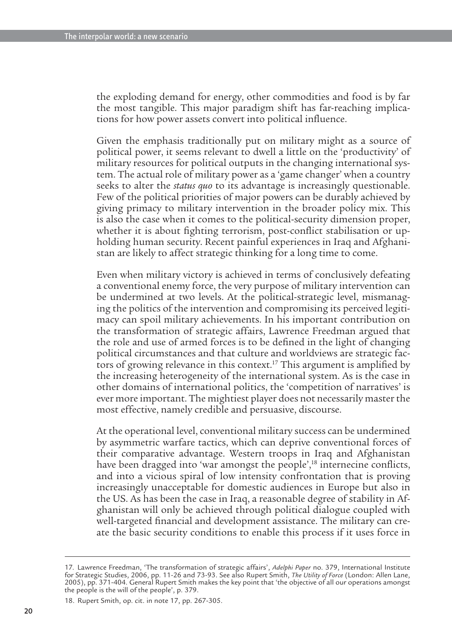the exploding demand for energy, other commodities and food is by far the most tangible. This major paradigm shift has far-reaching implications for how power assets convert into political influence.

Given the emphasis traditionally put on military might as a source of political power, it seems relevant to dwell a little on the 'productivity' of military resources for political outputs in the changing international system. The actual role of military power as a 'game changer' when a country seeks to alter the *status quo* to its advantage is increasingly questionable. Few of the political priorities of major powers can be durably achieved by giving primacy to military intervention in the broader policy mix. This is also the case when it comes to the political-security dimension proper, whether it is about fighting terrorism, post-conflict stabilisation or upholding human security. Recent painful experiences in Iraq and Afghanistan are likely to affect strategic thinking for a long time to come.

Even when military victory is achieved in terms of conclusively defeating a conventional enemy force, the very purpose of military intervention can be undermined at two levels. At the political-strategic level, mismanaging the politics of the intervention and compromising its perceived legitimacy can spoil military achievements. In his important contribution on the transformation of strategic affairs, Lawrence Freedman argued that the role and use of armed forces is to be defined in the light of changing political circumstances and that culture and worldviews are strategic factors of growing relevance in this context.<sup>17</sup> This argument is amplified by the increasing heterogeneity of the international system. As is the case in other domains of international politics, the 'competition of narratives' is ever more important. The mightiest player does not necessarily master the most effective, namely credible and persuasive, discourse.

At the operational level, conventional military success can be undermined by asymmetric warfare tactics, which can deprive conventional forces of their comparative advantage. Western troops in Iraq and Afghanistan have been dragged into 'war amongst the people',<sup>18</sup> internecine conflicts, and into a vicious spiral of low intensity confrontation that is proving increasingly unacceptable for domestic audiences in Europe but also in the US. As has been the case in Iraq, a reasonable degree of stability in Afghanistan will only be achieved through political dialogue coupled with well-targeted financial and development assistance. The military can create the basic security conditions to enable this process if it uses force in

<sup>17.</sup> Lawrence Freedman, 'The transformation of strategic affairs', *Adelphi Paper* no. 379, International Institute for Strategic Studies, 2006, pp. 11-26 and 73-93. See also Rupert Smith, *The Utility of Force* (London: Allen Lane, 2005), pp. 371-404. General Rupert Smith makes the key point that 'the objective of all our operations amongst the people is the will of the people', p. 379.

<sup>18.</sup> Rupert Smith, op. cit. in note 17, pp. 267-305.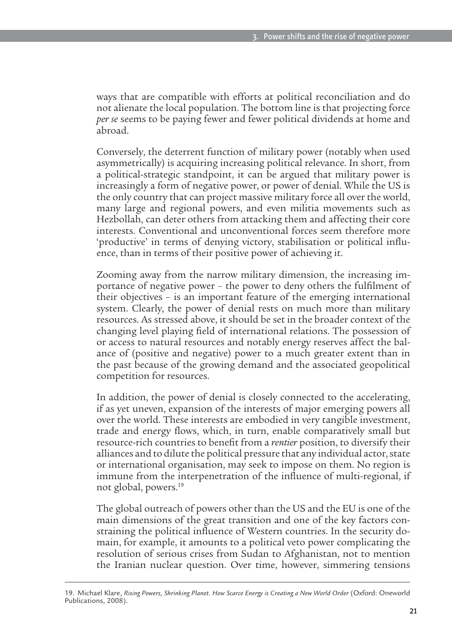ways that are compatible with efforts at political reconciliation and do not alienate the local population. The bottom line is that projecting force *per se* seems to be paying fewer and fewer political dividends at home and abroad.

Conversely, the deterrent function of military power (notably when used asymmetrically) is acquiring increasing political relevance. In short, from a political-strategic standpoint, it can be argued that military power is increasingly a form of negative power, or power of denial. While the US is the only country that can project massive military force all over the world, many large and regional powers, and even militia movements such as Hezbollah, can deter others from attacking them and affecting their core interests. Conventional and unconventional forces seem therefore more 'productive' in terms of denying victory, stabilisation or political influence, than in terms of their positive power of achieving it.

Zooming away from the narrow military dimension, the increasing importance of negative power – the power to deny others the fulfilment of their objectives – is an important feature of the emerging international system. Clearly, the power of denial rests on much more than military resources. As stressed above, it should be set in the broader context of the changing level playing field of international relations. The possession of or access to natural resources and notably energy reserves affect the balance of (positive and negative) power to a much greater extent than in the past because of the growing demand and the associated geopolitical competition for resources.

In addition, the power of denial is closely connected to the accelerating, if as yet uneven, expansion of the interests of major emerging powers all over the world. These interests are embodied in very tangible investment, trade and energy flows, which, in turn, enable comparatively small but resource-rich countries to benefit from a *rentier* position, to diversify their alliances and to dilute the political pressure that any individual actor, state or international organisation, may seek to impose on them. No region is immune from the interpenetration of the influence of multi-regional, if not global, powers.19

The global outreach of powers other than the US and the EU is one of the main dimensions of the great transition and one of the key factors constraining the political influence of Western countries. In the security domain, for example, it amounts to a political veto power complicating the resolution of serious crises from Sudan to Afghanistan, not to mention the Iranian nuclear question. Over time, however, simmering tensions

<sup>19.</sup> Michael Klare, *Rising Powers, Shrinking Planet. How Scarce Energy is Creating a New World Order* (Oxford: Oneworld Publications, 2008).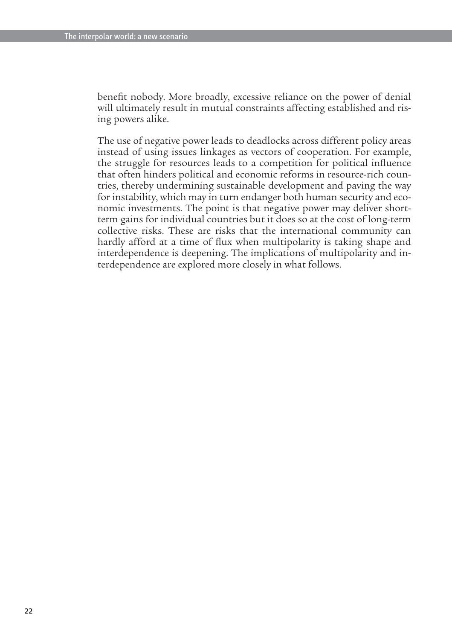benefit nobody. More broadly, excessive reliance on the power of denial will ultimately result in mutual constraints affecting established and rising powers alike.

The use of negative power leads to deadlocks across different policy areas instead of using issues linkages as vectors of cooperation. For example, the struggle for resources leads to a competition for political influence that often hinders political and economic reforms in resource-rich countries, thereby undermining sustainable development and paving the way for instability, which may in turn endanger both human security and economic investments. The point is that negative power may deliver shortterm gains for individual countries but it does so at the cost of long-term collective risks. These are risks that the international community can hardly afford at a time of flux when multipolarity is taking shape and interdependence is deepening. The implications of multipolarity and interdependence are explored more closely in what follows.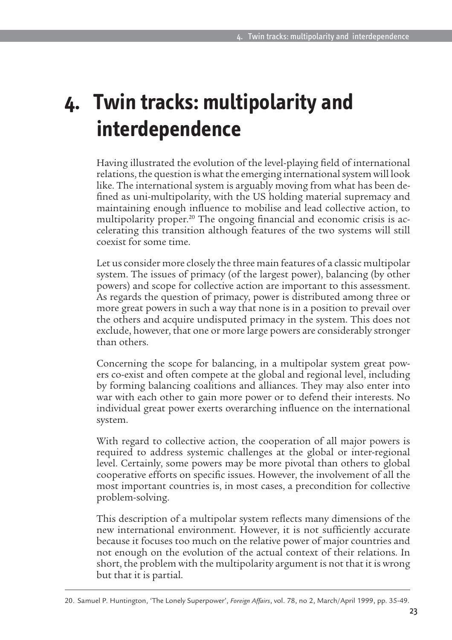# <span id="page-24-0"></span>4. Twin tracks: multipolarity and **interdependence**

Having illustrated the evolution of the level-playing field of international relations, the question is what the emerging international system will look like. The international system is arguably moving from what has been defined as uni-multipolarity, with the US holding material supremacy and maintaining enough influence to mobilise and lead collective action, to multipolarity proper.<sup>20</sup> The ongoing financial and economic crisis is accelerating this transition although features of the two systems will still coexist for some time.

Let us consider more closely the three main features of a classic multipolar system. The issues of primacy (of the largest power), balancing (by other powers) and scope for collective action are important to this assessment. As regards the question of primacy, power is distributed among three or more great powers in such a way that none is in a position to prevail over the others and acquire undisputed primacy in the system. This does not exclude, however, that one or more large powers are considerably stronger than others.

Concerning the scope for balancing, in a multipolar system great powers co-exist and often compete at the global and regional level, including by forming balancing coalitions and alliances. They may also enter into war with each other to gain more power or to defend their interests. No individual great power exerts overarching influence on the international system.

With regard to collective action, the cooperation of all major powers is required to address systemic challenges at the global or inter-regional level. Certainly, some powers may be more pivotal than others to global cooperative efforts on specific issues. However, the involvement of all the most important countries is, in most cases, a precondition for collective problem-solving.

This description of a multipolar system reflects many dimensions of the new international environment. However, it is not sufficiently accurate because it focuses too much on the relative power of major countries and not enough on the evolution of the actual context of their relations. In short, the problem with the multipolarity argument is not that it is wrong but that it is partial.

20. Samuel P. Huntington, 'The Lonely Superpower', *Foreign Affairs*, vol. 78, no 2, March/April 1999, pp. 35-49.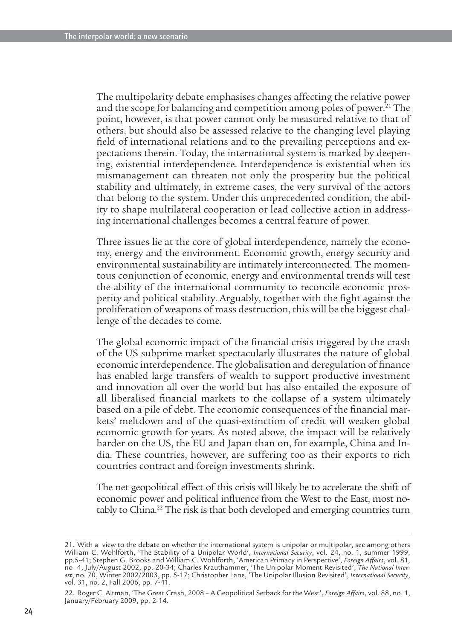The multipolarity debate emphasises changes affecting the relative power and the scope for balancing and competition among poles of power.<sup>21</sup> The point, however, is that power cannot only be measured relative to that of others, but should also be assessed relative to the changing level playing field of international relations and to the prevailing perceptions and expectations therein. Today, the international system is marked by deepening, existential interdependence. Interdependence is existential when its mismanagement can threaten not only the prosperity but the political stability and ultimately, in extreme cases, the very survival of the actors that belong to the system. Under this unprecedented condition, the ability to shape multilateral cooperation or lead collective action in addressing international challenges becomes a central feature of power.

Three issues lie at the core of global interdependence, namely the economy, energy and the environment. Economic growth, energy security and environmental sustainability are intimately interconnected. The momentous conjunction of economic, energy and environmental trends will test the ability of the international community to reconcile economic prosperity and political stability. Arguably, together with the fight against the proliferation of weapons of mass destruction, this will be the biggest challenge of the decades to come.

The global economic impact of the financial crisis triggered by the crash of the US subprime market spectacularly illustrates the nature of global economic interdependence. The globalisation and deregulation of finance has enabled large transfers of wealth to support productive investment and innovation all over the world but has also entailed the exposure of all liberalised financial markets to the collapse of a system ultimately based on a pile of debt. The economic consequences of the financial markets' meltdown and of the quasi-extinction of credit will weaken global economic growth for years. As noted above, the impact will be relatively harder on the US, the EU and Japan than on, for example, China and India. These countries, however, are suffering too as their exports to rich countries contract and foreign investments shrink.

The net geopolitical effect of this crisis will likely be to accelerate the shift of economic power and political influence from the West to the East, most notably to China.22 The risk is that both developed and emerging countries turn

<sup>21.</sup> With a view to the debate on whether the international system is unipolar or multipolar, see among others William C. Wohlforth, 'The Stability of a Unipolar World', *International Security*, vol. 24, no. 1, summer 1999, pp.5-41; Stephen G. Brooks and William C. Wohlforth, 'American Primacy in Perspective', *Foreign Affairs*, vol. 81, no 4, July/August 2002, pp. 20-34; Charles Krauthammer, 'The Unipolar Moment Revisited', *The National Interest*, no. 70, Winter 2002/2003, pp. 5-17; Christopher Lane, 'The Unipolar Illusion Revisited', *International Security*, vol. 31, no. 2, Fall 2006, pp. 7-41.

<sup>22.</sup> Roger C. Altman, 'The Great Crash, 2008 – A Geopolitical Setback for the West', *Foreign Affairs*, vol. 88, no. 1, January/February 2009, pp. 2-14.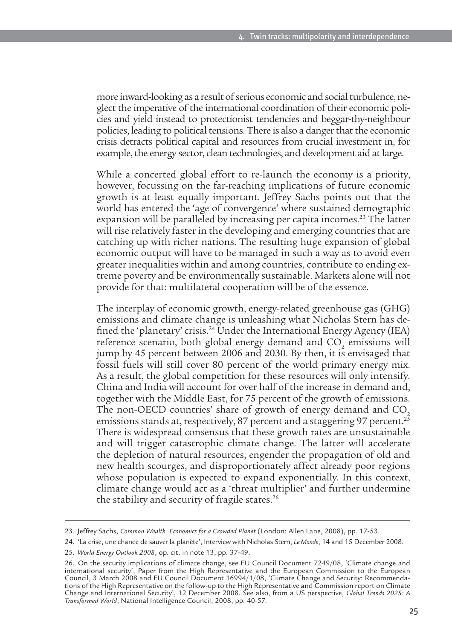more inward-looking as a result of serious economic and social turbulence, neglect the imperative of the international coordination of their economic policies and yield instead to protectionist tendencies and beggar-thy-neighbour policies, leading to political tensions. There is also a danger that the economic crisis detracts political capital and resources from crucial investment in, for example, the energy sector, clean technologies, and development aid at large.

While a concerted global effort to re-launch the economy is a priority, however, focussing on the far-reaching implications of future economic growth is at least equally important. Jeffrey Sachs points out that the world has entered the 'age of convergence' where sustained demographic expansion will be paralleled by increasing per capita incomes.<sup>23</sup> The latter will rise relatively faster in the developing and emerging countries that are catching up with richer nations. The resulting huge expansion of global economic output will have to be managed in such a way as to avoid even greater inequalities within and among countries, contribute to ending extreme poverty and be environmentally sustainable. Markets alone will not provide for that: multilateral cooperation will be of the essence.

The interplay of economic growth, energy-related greenhouse gas (GHG) emissions and climate change is unleashing what Nicholas Stern has defined the 'planetary' crisis.<sup>24</sup> Under the International Energy Agency (IEA) reference scenario, both global energy demand and CO<sub>2</sub> emissions will jump by 45 percent between 2006 and 2030. By then, it is envisaged that fossil fuels will still cover 80 percent of the world primary energy mix. As a result, the global competition for these resources will only intensify. China and India will account for over half of the increase in demand and, together with the Middle East, for 75 percent of the growth of emissions. The non-OECD countries' share of growth of energy demand and CO<sub>2</sub> emissions stands at, respectively, 87 percent and a staggering 97 percent.<sup>25</sup> There is widespread consensus that these growth rates are unsustainable and will trigger catastrophic climate change. The latter will accelerate the depletion of natural resources, engender the propagation of old and new health scourges, and disproportionately affect already poor regions whose population is expected to expand exponentially. In this context, climate change would act as a 'threat multiplier' and further undermine the stability and security of fragile states.<sup>26</sup>

<sup>23.</sup> Jeffrey Sachs, *Common Wealth. Economics for a Crowded Planet* (London: Allen Lane, 2008), pp. 17-53.

<sup>24. &#</sup>x27;La crise, une chance de sauver la planète', Interview with Nicholas Stern, *Le Monde*, 14 and 15 December 2008.

<sup>25.</sup> *World Energy Outlook 2008*, op. cit. in note 13, pp. 37-49.

<sup>26.</sup> On the security implications of climate change, see EU Council Document 7249/08, 'Climate change and international security', Paper from the High Representative and the European Commission to the European Council, 3 March 2008 and EU Council Document 16994/1/08, 'Climate Change and Security: Recommendations of the High Representative on the follow-up to the High Representative and Commission report on Climate Change and International Security', 12 December 2008. See also, from a US perspective, *Global Trends 2025: A Transformed World*, National Intelligence Council, 2008, pp. 40-57.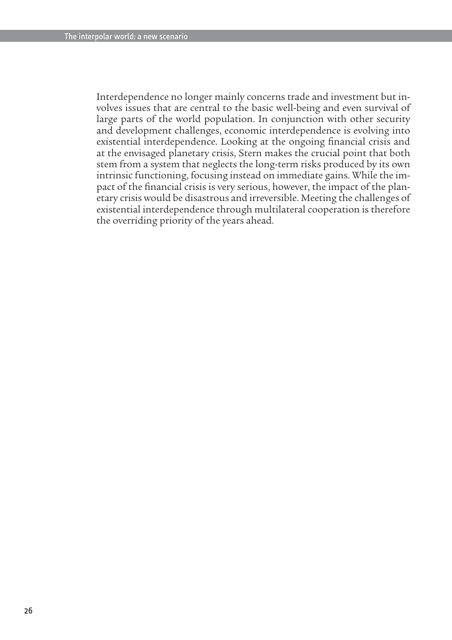Interdependence no longer mainly concerns trade and investment but involves issues that are central to the basic well-being and even survival of large parts of the world population. In conjunction with other security and development challenges, economic interdependence is evolving into existential interdependence. Looking at the ongoing financial crisis and at the envisaged planetary crisis, Stern makes the crucial point that both stem from a system that neglects the long-term risks produced by its own intrinsic functioning, focusing instead on immediate gains. While the impact of the financial crisis is very serious, however, the impact of the planetary crisis would be disastrous and irreversible. Meeting the challenges of existential interdependence through multilateral cooperation is therefore the overriding priority of the years ahead.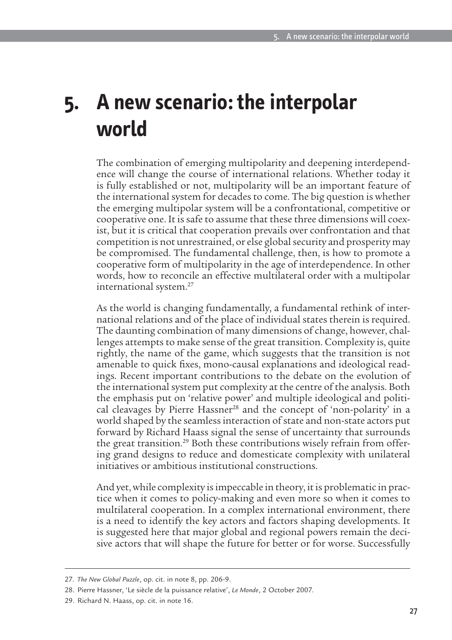# <span id="page-28-0"></span>**5. A new scenario: the interpolar** world

The combination of emerging multipolarity and deepening interdependence will change the course of international relations. Whether today it is fully established or not, multipolarity will be an important feature of the international system for decades to come. The big question is whether the emerging multipolar system will be a confrontational, competitive or cooperative one. It is safe to assume that these three dimensions will coexist, but it is critical that cooperation prevails over confrontation and that competition is not unrestrained, or else global security and prosperity may be compromised. The fundamental challenge, then, is how to promote a cooperative form of multipolarity in the age of interdependence. In other words, how to reconcile an effective multilateral order with a multipolar international system.27

As the world is changing fundamentally, a fundamental rethink of international relations and of the place of individual states therein is required. The daunting combination of many dimensions of change, however, challenges attempts to make sense of the great transition. Complexity is, quite rightly, the name of the game, which suggests that the transition is not amenable to quick fixes, mono-causal explanations and ideological readings. Recent important contributions to the debate on the evolution of the international system put complexity at the centre of the analysis. Both the emphasis put on 'relative power' and multiple ideological and political cleavages by Pierre Hassner<sup>28</sup> and the concept of 'non-polarity' in a world shaped by the seamless interaction of state and non-state actors put forward by Richard Haass signal the sense of uncertainty that surrounds the great transition.<sup>29</sup> Both these contributions wisely refrain from offering grand designs to reduce and domesticate complexity with unilateral initiatives or ambitious institutional constructions.

And yet, while complexity is impeccable in theory, it is problematic in practice when it comes to policy-making and even more so when it comes to multilateral cooperation. In a complex international environment, there is a need to identify the key actors and factors shaping developments. It is suggested here that major global and regional powers remain the decisive actors that will shape the future for better or for worse. Successfully

<sup>27.</sup> *The New Global Puzzle*, op. cit. in note 8, pp. 206-9.

<sup>28.</sup> Pierre Hassner, 'Le siècle de la puissance relative', *Le Monde*, 2 October 2007.

<sup>29.</sup> Richard N. Haass, op. cit. in note 16.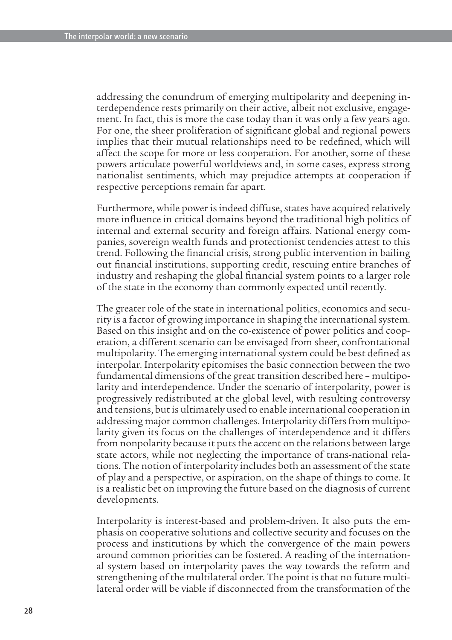addressing the conundrum of emerging multipolarity and deepening interdependence rests primarily on their active, albeit not exclusive, engagement. In fact, this is more the case today than it was only a few years ago. For one, the sheer proliferation of significant global and regional powers implies that their mutual relationships need to be redefined, which will affect the scope for more or less cooperation. For another, some of these powers articulate powerful worldviews and, in some cases, express strong nationalist sentiments, which may prejudice attempts at cooperation if respective perceptions remain far apart.

Furthermore, while power is indeed diffuse, states have acquired relatively more influence in critical domains beyond the traditional high politics of internal and external security and foreign affairs. National energy companies, sovereign wealth funds and protectionist tendencies attest to this trend. Following the financial crisis, strong public intervention in bailing out financial institutions, supporting credit, rescuing entire branches of industry and reshaping the global financial system points to a larger role of the state in the economy than commonly expected until recently.

The greater role of the state in international politics, economics and security is a factor of growing importance in shaping the international system. Based on this insight and on the co-existence of power politics and cooperation, a different scenario can be envisaged from sheer, confrontational multipolarity. The emerging international system could be best defined as interpolar. Interpolarity epitomises the basic connection between the two fundamental dimensions of the great transition described here – multipolarity and interdependence. Under the scenario of interpolarity, power is progressively redistributed at the global level, with resulting controversy and tensions, but is ultimately used to enable international cooperation in addressing major common challenges. Interpolarity differs from multipolarity given its focus on the challenges of interdependence and it differs from nonpolarity because it puts the accent on the relations between large state actors, while not neglecting the importance of trans-national relations. The notion of interpolarity includes both an assessment of the state of play and a perspective, or aspiration, on the shape of things to come. It is a realistic bet on improving the future based on the diagnosis of current developments.

Interpolarity is interest-based and problem-driven. It also puts the emphasis on cooperative solutions and collective security and focuses on the process and institutions by which the convergence of the main powers around common priorities can be fostered. A reading of the international system based on interpolarity paves the way towards the reform and strengthening of the multilateral order. The point is that no future multilateral order will be viable if disconnected from the transformation of the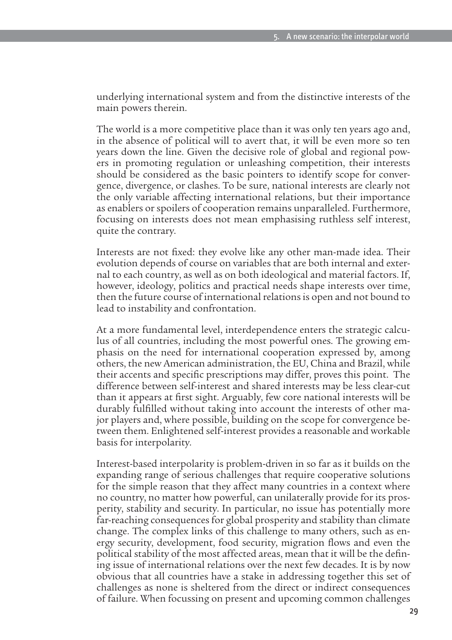underlying international system and from the distinctive interests of the main powers therein.

The world is a more competitive place than it was only ten years ago and, in the absence of political will to avert that, it will be even more so ten years down the line. Given the decisive role of global and regional powers in promoting regulation or unleashing competition, their interests should be considered as the basic pointers to identify scope for convergence, divergence, or clashes. To be sure, national interests are clearly not the only variable affecting international relations, but their importance as enablers or spoilers of cooperation remains unparalleled. Furthermore, focusing on interests does not mean emphasising ruthless self interest, quite the contrary.

Interests are not fixed: they evolve like any other man-made idea. Their evolution depends of course on variables that are both internal and external to each country, as well as on both ideological and material factors. If, however, ideology, politics and practical needs shape interests over time, then the future course of international relations is open and not bound to lead to instability and confrontation.

At a more fundamental level, interdependence enters the strategic calculus of all countries, including the most powerful ones. The growing emphasis on the need for international cooperation expressed by, among others, the new American administration, the EU, China and Brazil, while their accents and specific prescriptions may differ, proves this point. The difference between self-interest and shared interests may be less clear-cut than it appears at first sight. Arguably, few core national interests will be durably fulfilled without taking into account the interests of other major players and, where possible, building on the scope for convergence between them. Enlightened self-interest provides a reasonable and workable basis for interpolarity.

Interest-based interpolarity is problem-driven in so far as it builds on the expanding range of serious challenges that require cooperative solutions for the simple reason that they affect many countries in a context where no country, no matter how powerful, can unilaterally provide for its prosperity, stability and security. In particular, no issue has potentially more far-reaching consequences for global prosperity and stability than climate change. The complex links of this challenge to many others, such as energy security, development, food security, migration flows and even the political stability of the most affected areas, mean that it will be the defining issue of international relations over the next few decades. It is by now obvious that all countries have a stake in addressing together this set of challenges as none is sheltered from the direct or indirect consequences of failure. When focussing on present and upcoming common challenges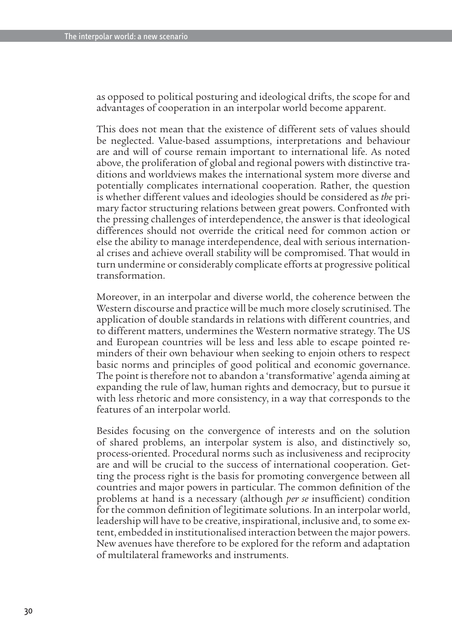as opposed to political posturing and ideological drifts, the scope for and advantages of cooperation in an interpolar world become apparent.

This does not mean that the existence of different sets of values should be neglected. Value-based assumptions, interpretations and behaviour are and will of course remain important to international life. As noted above, the proliferation of global and regional powers with distinctive traditions and worldviews makes the international system more diverse and potentially complicates international cooperation. Rather, the question is whether different values and ideologies should be considered as *the* primary factor structuring relations between great powers. Confronted with the pressing challenges of interdependence, the answer is that ideological differences should not override the critical need for common action or else the ability to manage interdependence, deal with serious international crises and achieve overall stability will be compromised. That would in turn undermine or considerably complicate efforts at progressive political transformation.

Moreover, in an interpolar and diverse world, the coherence between the Western discourse and practice will be much more closely scrutinised. The application of double standards in relations with different countries, and to different matters, undermines the Western normative strategy. The US and European countries will be less and less able to escape pointed reminders of their own behaviour when seeking to enjoin others to respect basic norms and principles of good political and economic governance. The point is therefore not to abandon a 'transformative' agenda aiming at expanding the rule of law, human rights and democracy, but to pursue it with less rhetoric and more consistency, in a way that corresponds to the features of an interpolar world.

Besides focusing on the convergence of interests and on the solution of shared problems, an interpolar system is also, and distinctively so, process-oriented. Procedural norms such as inclusiveness and reciprocity are and will be crucial to the success of international cooperation. Getting the process right is the basis for promoting convergence between all countries and major powers in particular. The common definition of the problems at hand is a necessary (although *per se* insufficient) condition for the common definition of legitimate solutions. In an interpolar world, leadership will have to be creative, inspirational, inclusive and, to some extent, embedded in institutionalised interaction between the major powers. New avenues have therefore to be explored for the reform and adaptation of multilateral frameworks and instruments.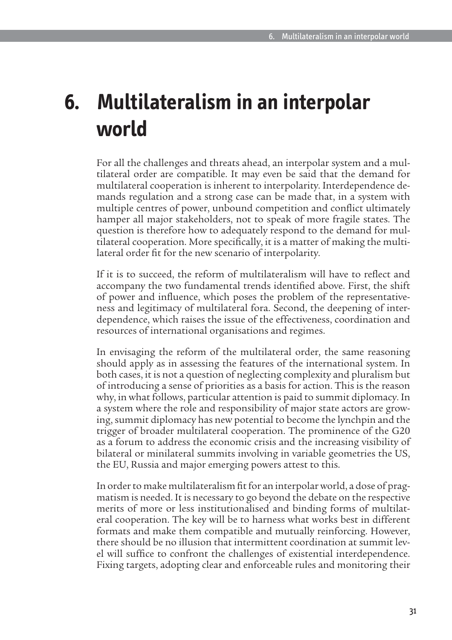# <span id="page-32-0"></span>**6. Multilateralism in an interpolar** world

For all the challenges and threats ahead, an interpolar system and a multilateral order are compatible. It may even be said that the demand for multilateral cooperation is inherent to interpolarity. Interdependence demands regulation and a strong case can be made that, in a system with multiple centres of power, unbound competition and conflict ultimately hamper all major stakeholders, not to speak of more fragile states. The question is therefore how to adequately respond to the demand for multilateral cooperation. More specifically, it is a matter of making the multilateral order fit for the new scenario of interpolarity.

If it is to succeed, the reform of multilateralism will have to reflect and accompany the two fundamental trends identified above. First, the shift of power and influence, which poses the problem of the representativeness and legitimacy of multilateral fora. Second, the deepening of interdependence, which raises the issue of the effectiveness, coordination and resources of international organisations and regimes.

In envisaging the reform of the multilateral order, the same reasoning should apply as in assessing the features of the international system. In both cases, it is not a question of neglecting complexity and pluralism but of introducing a sense of priorities as a basis for action. This is the reason why, in what follows, particular attention is paid to summit diplomacy. In a system where the role and responsibility of major state actors are growing, summit diplomacy has new potential to become the lynchpin and the trigger of broader multilateral cooperation. The prominence of the G20 as a forum to address the economic crisis and the increasing visibility of bilateral or minilateral summits involving in variable geometries the US, the EU, Russia and major emerging powers attest to this.

In order to make multilateralism fit for an interpolar world, a dose of pragmatism is needed. It is necessary to go beyond the debate on the respective merits of more or less institutionalised and binding forms of multilateral cooperation. The key will be to harness what works best in different formats and make them compatible and mutually reinforcing. However, there should be no illusion that intermittent coordination at summit level will suffice to confront the challenges of existential interdependence. Fixing targets, adopting clear and enforceable rules and monitoring their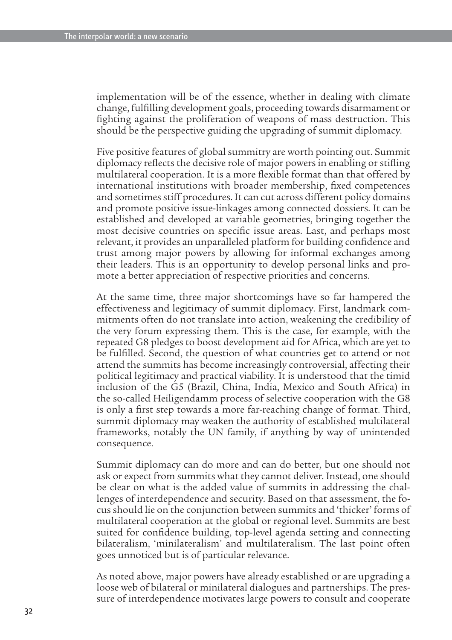implementation will be of the essence, whether in dealing with climate change, fulfilling development goals, proceeding towards disarmament or fighting against the proliferation of weapons of mass destruction. This should be the perspective guiding the upgrading of summit diplomacy.

Five positive features of global summitry are worth pointing out. Summit diplomacy reflects the decisive role of major powers in enabling or stifling multilateral cooperation. It is a more flexible format than that offered by international institutions with broader membership, fixed competences and sometimes stiff procedures. It can cut across different policy domains and promote positive issue-linkages among connected dossiers. It can be established and developed at variable geometries, bringing together the most decisive countries on specific issue areas. Last, and perhaps most relevant, it provides an unparalleled platform for building confidence and trust among major powers by allowing for informal exchanges among their leaders. This is an opportunity to develop personal links and promote a better appreciation of respective priorities and concerns.

At the same time, three major shortcomings have so far hampered the effectiveness and legitimacy of summit diplomacy. First, landmark commitments often do not translate into action, weakening the credibility of the very forum expressing them. This is the case, for example, with the repeated G8 pledges to boost development aid for Africa, which are yet to be fulfilled. Second, the question of what countries get to attend or not attend the summits has become increasingly controversial, affecting their political legitimacy and practical viability. It is understood that the timid inclusion of the G5 (Brazil, China, India, Mexico and South Africa) in the so-called Heiligendamm process of selective cooperation with the G8 is only a first step towards a more far-reaching change of format. Third, summit diplomacy may weaken the authority of established multilateral frameworks, notably the UN family, if anything by way of unintended consequence.

Summit diplomacy can do more and can do better, but one should not ask or expect from summits what they cannot deliver. Instead, one should be clear on what is the added value of summits in addressing the challenges of interdependence and security. Based on that assessment, the focus should lie on the conjunction between summits and 'thicker' forms of multilateral cooperation at the global or regional level. Summits are best suited for confidence building, top-level agenda setting and connecting bilateralism, 'minilateralism' and multilateralism. The last point often goes unnoticed but is of particular relevance.

As noted above, major powers have already established or are upgrading a loose web of bilateral or minilateral dialogues and partnerships. The pressure of interdependence motivates large powers to consult and cooperate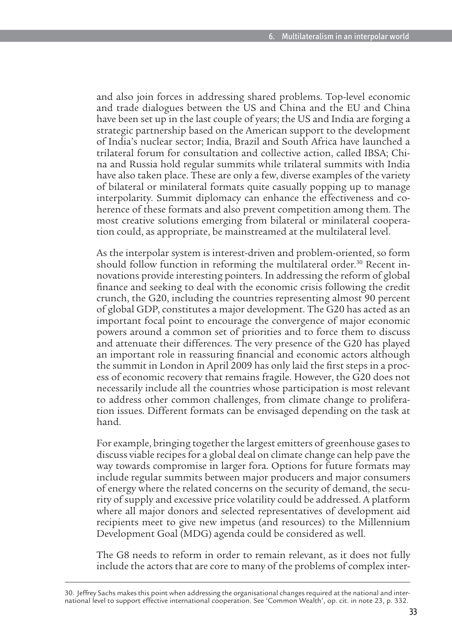and also join forces in addressing shared problems. Top-level economic and trade dialogues between the US and China and the EU and China have been set up in the last couple of years; the US and India are forging a strategic partnership based on the American support to the development of India's nuclear sector; India, Brazil and South Africa have launched a trilateral forum for consultation and collective action, called IBSA; China and Russia hold regular summits while trilateral summits with India have also taken place. These are only a few, diverse examples of the variety of bilateral or minilateral formats quite casually popping up to manage interpolarity. Summit diplomacy can enhance the effectiveness and coherence of these formats and also prevent competition among them. The most creative solutions emerging from bilateral or minilateral cooperation could, as appropriate, be mainstreamed at the multilateral level.

As the interpolar system is interest-driven and problem-oriented, so form should follow function in reforming the multilateral order.<sup>30</sup> Recent innovations provide interesting pointers. In addressing the reform of global finance and seeking to deal with the economic crisis following the credit crunch, the G20, including the countries representing almost 90 percent of global GDP, constitutes a major development. The G20 has acted as an important focal point to encourage the convergence of major economic powers around a common set of priorities and to force them to discuss and attenuate their differences. The very presence of the G20 has played an important role in reassuring financial and economic actors although the summit in London in April 2009 has only laid the first steps in a process of economic recovery that remains fragile. However, the G20 does not necessarily include all the countries whose participation is most relevant to address other common challenges, from climate change to proliferation issues. Different formats can be envisaged depending on the task at hand.

For example, bringing together the largest emitters of greenhouse gases to discuss viable recipes for a global deal on climate change can help pave the way towards compromise in larger fora. Options for future formats may include regular summits between major producers and major consumers of energy where the related concerns on the security of demand, the security of supply and excessive price volatility could be addressed. A platform where all major donors and selected representatives of development aid recipients meet to give new impetus (and resources) to the Millennium Development Goal (MDG) agenda could be considered as well.

The G8 needs to reform in order to remain relevant, as it does not fully include the actors that are core to many of the problems of complex inter-

30. Jeffrey Sachs makes this point when addressing the organisational changes required at the national and international level to support effective international cooperation. See 'Common Wealth', op. cit. in note 23, p. 332.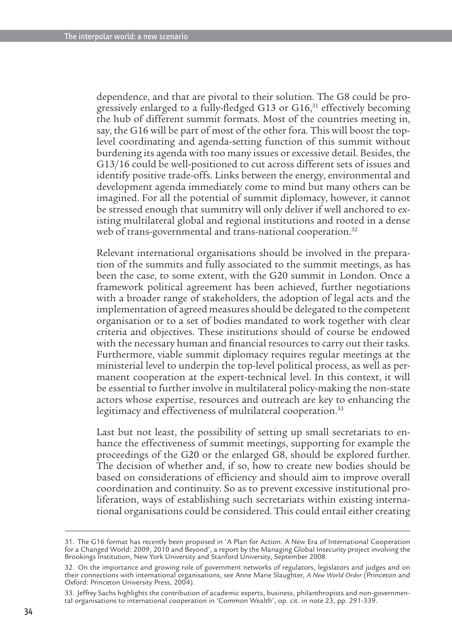dependence, and that are pivotal to their solution. The G8 could be progressively enlarged to a fully-fledged G13 or  $G16$ ,<sup>31</sup> effectively becoming the hub of different summit formats. Most of the countries meeting in, say, the G16 will be part of most of the other fora. This will boost the toplevel coordinating and agenda-setting function of this summit without burdening its agenda with too many issues or excessive detail. Besides, the G13/16 could be well-positioned to cut across different sets of issues and identify positive trade-offs. Links between the energy, environmental and development agenda immediately come to mind but many others can be imagined. For all the potential of summit diplomacy, however, it cannot be stressed enough that summitry will only deliver if well anchored to existing multilateral global and regional institutions and rooted in a dense web of trans-governmental and trans-national cooperation.<sup>32</sup>

Relevant international organisations should be involved in the preparation of the summits and fully associated to the summit meetings, as has been the case, to some extent, with the G20 summit in London. Once a framework political agreement has been achieved, further negotiations with a broader range of stakeholders, the adoption of legal acts and the implementation of agreed measures should be delegated to the competent organisation or to a set of bodies mandated to work together with clear criteria and objectives. These institutions should of course be endowed with the necessary human and financial resources to carry out their tasks. Furthermore, viable summit diplomacy requires regular meetings at the ministerial level to underpin the top-level political process, as well as permanent cooperation at the expert-technical level. In this context, it will be essential to further involve in multilateral policy-making the non-state actors whose expertise, resources and outreach are key to enhancing the legitimacy and effectiveness of multilateral cooperation.<sup>33</sup>

Last but not least, the possibility of setting up small secretariats to enhance the effectiveness of summit meetings, supporting for example the proceedings of the G20 or the enlarged G8, should be explored further. The decision of whether and, if so, how to create new bodies should be based on considerations of efficiency and should aim to improve overall coordination and continuity. So as to prevent excessive institutional proliferation, ways of establishing such secretariats within existing international organisations could be considered. This could entail either creating

<sup>31.</sup> The G16 format has recently been proposed in 'A Plan for Action. A New Era of International Cooperation for a Changed World: 2009, 2010 and Beyond', a report by the Managing Global Insecurity project involving the Brookings Institution, New York University and Stanford University, September 2008.

<sup>32.</sup> On the importance and growing role of government networks of regulators, legislators and judges and on their connections with international organisations, see Anne Marie Slaughter, *A New World Order* (Princeton and Oxford: Princeton University Press, 2004).

<sup>33.</sup> Jeffrey Sachs highlights the contribution of academic experts, business, philanthropists and non-governmental organisations to international cooperation in 'Common Wealth', op. cit. in note 23, pp. 291-339.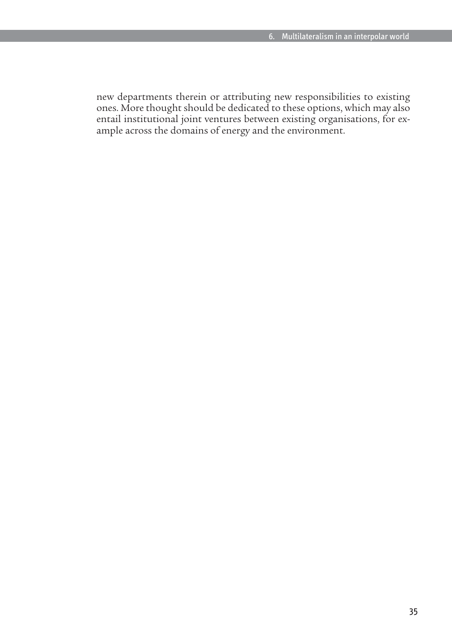new departments therein or attributing new responsibilities to existing ones. More thought should be dedicated to these options, which may also entail institutional joint ventures between existing organisations, for example across the domains of energy and the environment.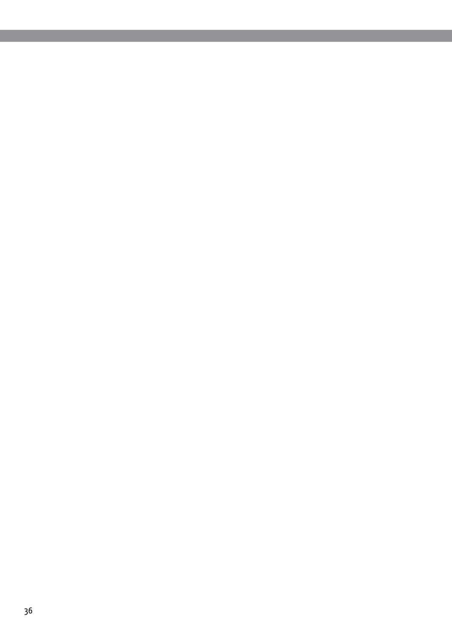####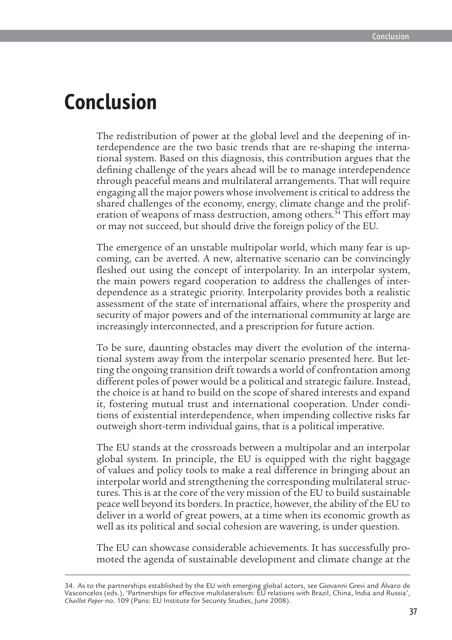### **Conclusion**

The redistribution of power at the global level and the deepening of interdependence are the two basic trends that are re-shaping the international system. Based on this diagnosis, this contribution argues that the defining challenge of the years ahead will be to manage interdependence through peaceful means and multilateral arrangements. That will require engaging all the major powers whose involvement is critical to address the shared challenges of the economy, energy, climate change and the proliferation of weapons of mass destruction, among others.<sup>34</sup> This effort may or may not succeed, but should drive the foreign policy of the EU.

The emergence of an unstable multipolar world, which many fear is upcoming, can be averted. A new, alternative scenario can be convincingly fleshed out using the concept of interpolarity. In an interpolar system, the main powers regard cooperation to address the challenges of interdependence as a strategic priority. Interpolarity provides both a realistic assessment of the state of international affairs, where the prosperity and security of major powers and of the international community at large are increasingly interconnected, and a prescription for future action.

To be sure, daunting obstacles may divert the evolution of the international system away from the interpolar scenario presented here. But letting the ongoing transition drift towards a world of confrontation among different poles of power would be a political and strategic failure. Instead, the choice is at hand to build on the scope of shared interests and expand it, fostering mutual trust and international cooperation. Under conditions of existential interdependence, when impending collective risks far outweigh short-term individual gains, that is a political imperative.

The EU stands at the crossroads between a multipolar and an interpolar global system. In principle, the EU is equipped with the right baggage of values and policy tools to make a real difference in bringing about an interpolar world and strengthening the corresponding multilateral structures. This is at the core of the very mission of the EU to build sustainable peace well beyond its borders. In practice, however, the ability of the EU to deliver in a world of great powers, at a time when its economic growth as well as its political and social cohesion are wavering, is under question.

The EU can showcase considerable achievements. It has successfully promoted the agenda of sustainable development and climate change at the

<sup>34.</sup> As to the partnerships established by the EU with emerging global actors, see Giovanni Grevi and Álvaro de Vasconcelos (eds.), 'Partnerships for effective multilateralism: EU relations with Brazil, China, India and Russia', *Chaillot Paper* no. 109 (Paris: EU Institute for Security Studies, June 2008).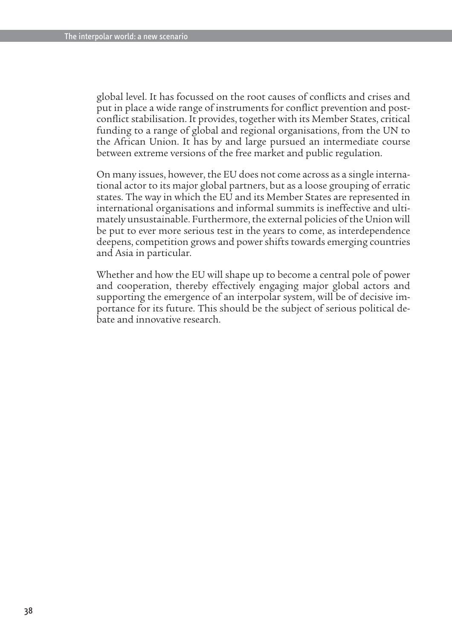global level. It has focussed on the root causes of conflicts and crises and put in place a wide range of instruments for conflict prevention and postconflict stabilisation. It provides, together with its Member States, critical funding to a range of global and regional organisations, from the UN to the African Union. It has by and large pursued an intermediate course between extreme versions of the free market and public regulation.

On many issues, however, the EU does not come across as a single international actor to its major global partners, but as a loose grouping of erratic states. The way in which the EU and its Member States are represented in international organisations and informal summits is ineffective and ultimately unsustainable. Furthermore, the external policies of the Union will be put to ever more serious test in the years to come, as interdependence deepens, competition grows and power shifts towards emerging countries and Asia in particular.

Whether and how the EU will shape up to become a central pole of power and cooperation, thereby effectively engaging major global actors and supporting the emergence of an interpolar system, will be of decisive importance for its future. This should be the subject of serious political debate and innovative research.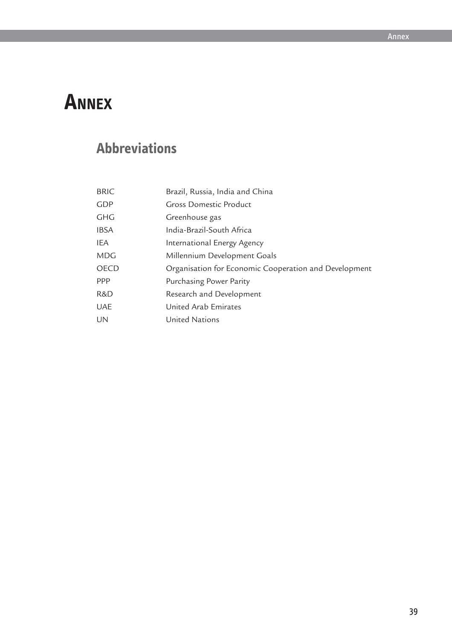## <span id="page-40-0"></span>**ANNEX**

### **Abbreviations**

| <b>BRIC</b> | Brazil, Russia, India and China                       |
|-------------|-------------------------------------------------------|
| <b>GDP</b>  | <b>Gross Domestic Product</b>                         |
| <b>GHG</b>  | Greenhouse gas                                        |
| <b>IBSA</b> | India-Brazil-South Africa                             |
| IEA         | International Energy Agency                           |
| <b>MDG</b>  | Millennium Development Goals                          |
| <b>OECD</b> | Organisation for Economic Cooperation and Development |
| <b>PPP</b>  | Purchasing Power Parity                               |
| R&D         | Research and Development                              |
| <b>UAE</b>  | United Arab Emirates                                  |
| <b>UN</b>   | United Nations                                        |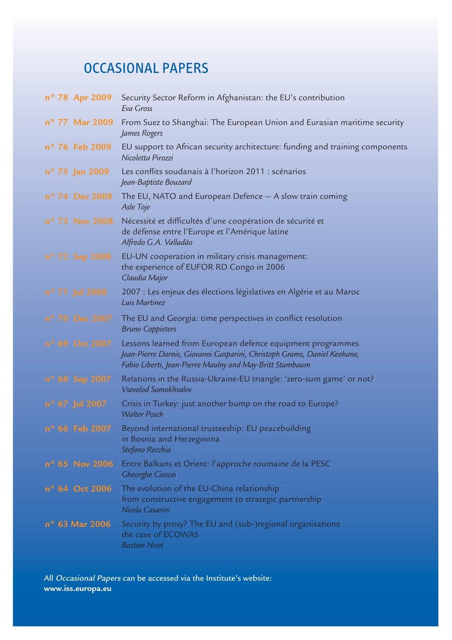#### OCCASIONAL PAPERS

| n <sup>o</sup> 78 Apr 2009 | Security Sector Reform in Afghanistan: the EU's contribution<br>Eva Gross                                                                                                                          |
|----------------------------|----------------------------------------------------------------------------------------------------------------------------------------------------------------------------------------------------|
| n <sup>o</sup> 77 Mar 2009 | From Suez to Shanghai: The European Union and Eurasian maritime security<br>James Rogers                                                                                                           |
| nº 76 Feb 2009             | EU support to African security architecture: funding and training components<br>Nicoletta Pirozzi                                                                                                  |
| $n^{\circ}$ 75 Jan 2009    | Les conflits soudanais à l'horizon 2011 : scénarios<br>Jean-Baptiste Bouzard                                                                                                                       |
| n° 74 Dec 2008             | The EU, NATO and European Defence - A slow train coming<br>Asle Toje                                                                                                                               |
| nº 73 Nov 2008             | Nécessité et difficultés d'une coopération de sécurité et<br>de défense entre l'Europe et l'Amérique latine<br>Alfredo G.A. Valladão                                                               |
| nº 72 Sep 2008             | EU-UN cooperation in military crisis management:<br>the experience of EUFOR RD Congo in 2006<br>Claudia Major                                                                                      |
| nº 71 Jul 2008             | 2007 : Les enjeux des élections législatives en Algérie et au Maroc<br>Luis Martinez                                                                                                               |
| nº 70 Dec 2007             | The EU and Georgia: time perspectives in conflict resolution<br><b>Bruno Coppieters</b>                                                                                                            |
| n <sup>o</sup> 69 Oct 2007 | Lessons learned from European defence equipment programmes<br>Jean-Pierre Darnis, Giovanni Gasparini, Christoph Grams, Daniel Keohane,<br>Fabio Liberti, Jean-Pierre Maulny and May-Britt Stumbaum |
| n° 68 Sep 2007             | Relations in the Russia-Ukraine-EU triangle: 'zero-sum game' or not?<br>Vsevolod Samokhvalov                                                                                                       |
| $n^{\circ}$ 67 Jul 2007    | Crisis in Turkey: just another bump on the road to Europe?<br><b>Walter Posch</b>                                                                                                                  |
| n° 66 Feb 2007             | Beyond international trusteeship: EU peacebuilding<br>in Bosnia and Herzegovina<br>Stefano Recchia                                                                                                 |
| n° 65 Nov 2006             | Entre Balkans et Orient: l'approche roumaine de la PESC<br>Gheorghe Ciascai                                                                                                                        |
| nº 64 Oct 2006             | The evolution of the EU-China relationship:<br>from constructive engagement to strategic partnership<br>Nicola Casarini                                                                            |
| nº 63 Mar 2006             | Security by proxy? The EU and (sub-)regional organisations:<br>the case of ECOWAS<br><b>Bastien Nivet</b>                                                                                          |

All *Occasional Papers* can be accessed via the Institute's website: **www.iss.europa.eu**